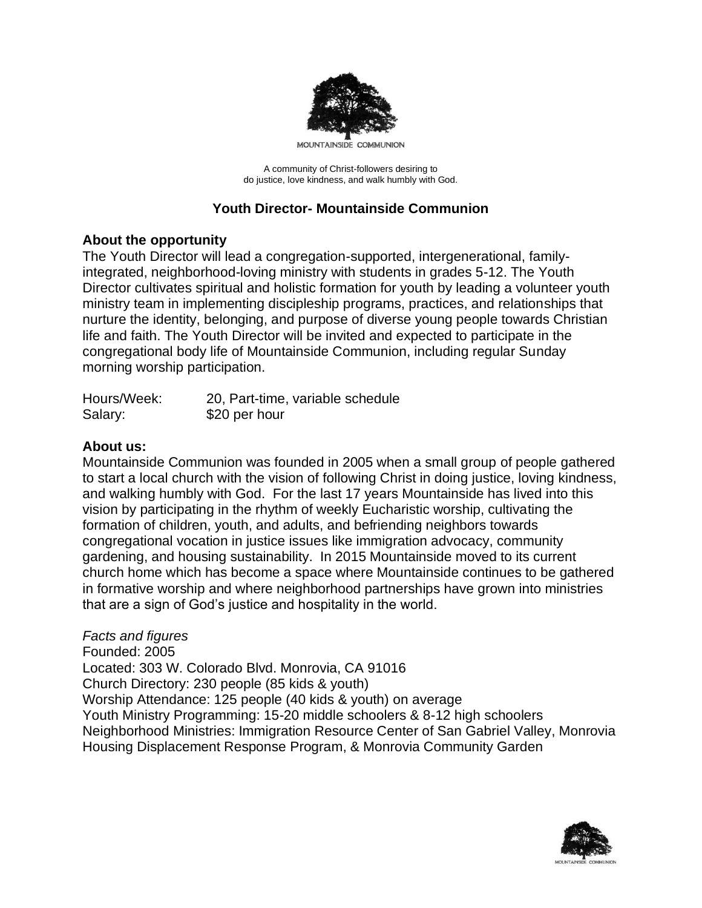

MOUNTAINSIDE COMMUNION

A community of Christ-followers desiring to do justice, love kindness, and walk humbly with God.

# **Youth Director- Mountainside Communion**

### **About the opportunity**

The Youth Director will lead a congregation-supported, intergenerational, familyintegrated, neighborhood-loving ministry with students in grades 5-12. The Youth Director cultivates spiritual and holistic formation for youth by leading a volunteer youth ministry team in implementing discipleship programs, practices, and relationships that nurture the identity, belonging, and purpose of diverse young people towards Christian life and faith. The Youth Director will be invited and expected to participate in the congregational body life of Mountainside Communion, including regular Sunday morning worship participation.

| Hours/Week: | 20, Part-time, variable schedule |
|-------------|----------------------------------|
| Salary:     | \$20 per hour                    |

## **About us:**

Mountainside Communion was founded in 2005 when a small group of people gathered to start a local church with the vision of following Christ in doing justice, loving kindness, and walking humbly with God. For the last 17 years Mountainside has lived into this vision by participating in the rhythm of weekly Eucharistic worship, cultivating the formation of children, youth, and adults, and befriending neighbors towards congregational vocation in justice issues like immigration advocacy, community gardening, and housing sustainability. In 2015 Mountainside moved to its current church home which has become a space where Mountainside continues to be gathered in formative worship and where neighborhood partnerships have grown into ministries that are a sign of God's justice and hospitality in the world.

### *Facts and figures*

Founded: 2005 Located: 303 W. Colorado Blvd. Monrovia, CA 91016 Church Directory: 230 people (85 kids & youth) Worship Attendance: 125 people (40 kids & youth) on average Youth Ministry Programming: 15-20 middle schoolers & 8-12 high schoolers Neighborhood Ministries: Immigration Resource Center of San Gabriel Valley, Monrovia Housing Displacement Response Program, & Monrovia Community Garden

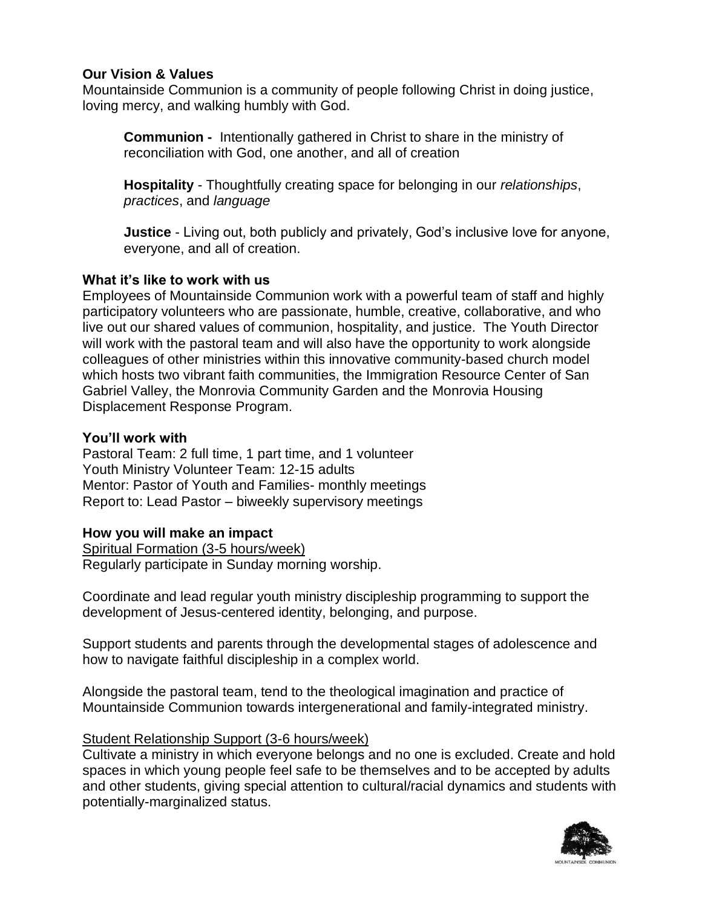## **Our Vision & Values**

Mountainside Communion is a community of people following Christ in doing justice, loving mercy, and walking humbly with God.

**Communion -** Intentionally gathered in Christ to share in the ministry of reconciliation with God, one another, and all of creation

**Hospitality** - Thoughtfully creating space for belonging in our *relationships*, *practices*, and *language*

**Justice** - Living out, both publicly and privately, God's inclusive love for anyone, everyone, and all of creation.

## **What it's like to work with us**

Employees of Mountainside Communion work with a powerful team of staff and highly participatory volunteers who are passionate, humble, creative, collaborative, and who live out our shared values of communion, hospitality, and justice. The Youth Director will work with the pastoral team and will also have the opportunity to work alongside colleagues of other ministries within this innovative community-based church model which hosts two vibrant faith communities, the Immigration Resource Center of San Gabriel Valley, the Monrovia Community Garden and the Monrovia Housing Displacement Response Program.

## **You'll work with**

Pastoral Team: 2 full time, 1 part time, and 1 volunteer Youth Ministry Volunteer Team: 12-15 adults Mentor: Pastor of Youth and Families- monthly meetings Report to: Lead Pastor – biweekly supervisory meetings

# **How you will make an impact**

Spiritual Formation (3-5 hours/week) Regularly participate in Sunday morning worship.

Coordinate and lead regular youth ministry discipleship programming to support the development of Jesus-centered identity, belonging, and purpose.

Support students and parents through the developmental stages of adolescence and how to navigate faithful discipleship in a complex world.

Alongside the pastoral team, tend to the theological imagination and practice of Mountainside Communion towards intergenerational and family-integrated ministry.

### Student Relationship Support (3-6 hours/week)

Cultivate a ministry in which everyone belongs and no one is excluded. Create and hold spaces in which young people feel safe to be themselves and to be accepted by adults and other students, giving special attention to cultural/racial dynamics and students with potentially-marginalized status.

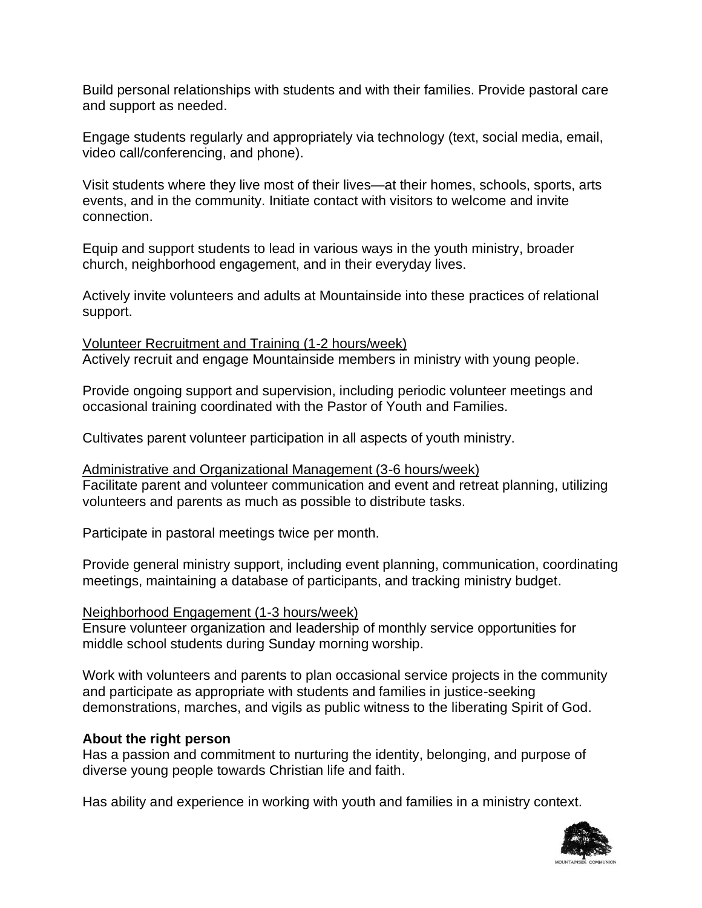Build personal relationships with students and with their families. Provide pastoral care and support as needed.

Engage students regularly and appropriately via technology (text, social media, email, video call/conferencing, and phone).

Visit students where they live most of their lives—at their homes, schools, sports, arts events, and in the community. Initiate contact with visitors to welcome and invite connection.

Equip and support students to lead in various ways in the youth ministry, broader church, neighborhood engagement, and in their everyday lives.

Actively invite volunteers and adults at Mountainside into these practices of relational support.

Volunteer Recruitment and Training (1-2 hours/week) Actively recruit and engage Mountainside members in ministry with young people.

Provide ongoing support and supervision, including periodic volunteer meetings and occasional training coordinated with the Pastor of Youth and Families.

Cultivates parent volunteer participation in all aspects of youth ministry.

Administrative and Organizational Management (3-6 hours/week) Facilitate parent and volunteer communication and event and retreat planning, utilizing volunteers and parents as much as possible to distribute tasks.

Participate in pastoral meetings twice per month.

Provide general ministry support, including event planning, communication, coordinating meetings, maintaining a database of participants, and tracking ministry budget.

### Neighborhood Engagement (1-3 hours/week)

Ensure volunteer organization and leadership of monthly service opportunities for middle school students during Sunday morning worship.

Work with volunteers and parents to plan occasional service projects in the community and participate as appropriate with students and families in justice-seeking demonstrations, marches, and vigils as public witness to the liberating Spirit of God.

# **About the right person**

Has a passion and commitment to nurturing the identity, belonging, and purpose of diverse young people towards Christian life and faith.

Has ability and experience in working with youth and families in a ministry context.